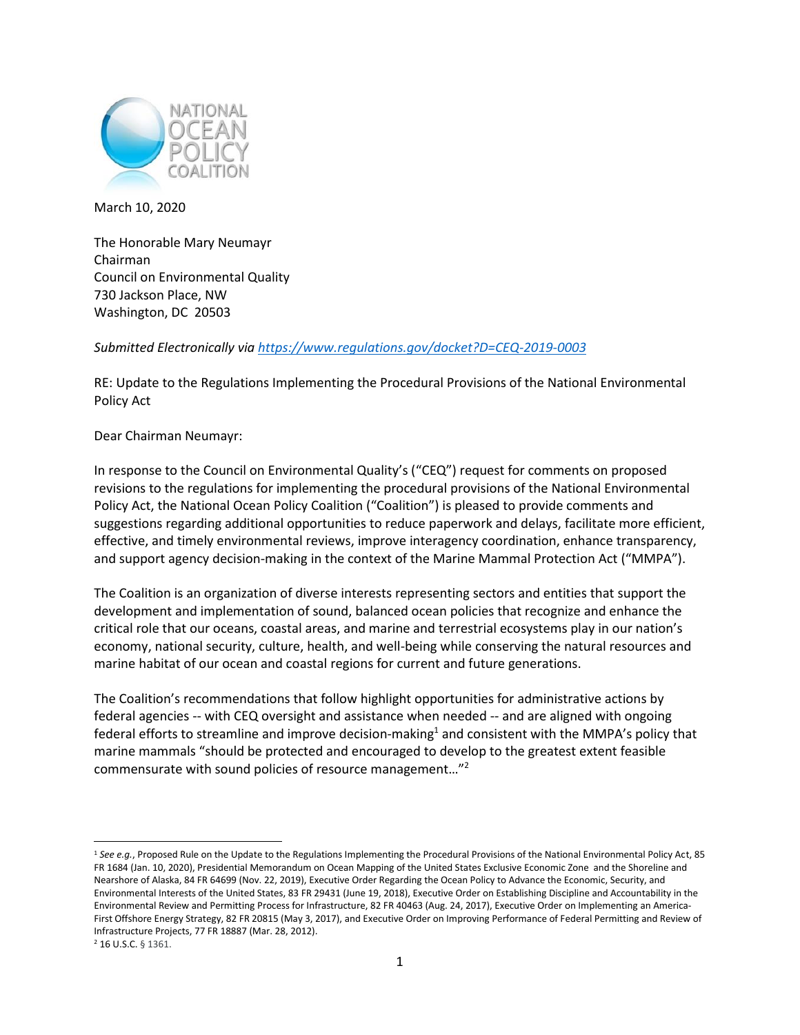

March 10, 2020

The Honorable Mary Neumayr Chairman Council on Environmental Quality 730 Jackson Place, NW Washington, DC 20503

*Submitted Electronically via <https://www.regulations.gov/docket?D=CEQ-2019-0003>*

RE: Update to the Regulations Implementing the Procedural Provisions of the National Environmental Policy Act

Dear Chairman Neumayr:

In response to the Council on Environmental Quality's ("CEQ") request for comments on proposed revisions to the regulations for implementing the procedural provisions of the National Environmental Policy Act, the National Ocean Policy Coalition ("Coalition") is pleased to provide comments and suggestions regarding additional opportunities to reduce paperwork and delays, facilitate more efficient, effective, and timely environmental reviews, improve interagency coordination, enhance transparency, and support agency decision-making in the context of the Marine Mammal Protection Act ("MMPA").

The Coalition is an organization of diverse interests representing sectors and entities that support the development and implementation of sound, balanced ocean policies that recognize and enhance the critical role that our oceans, coastal areas, and marine and terrestrial ecosystems play in our nation's economy, national security, culture, health, and well-being while conserving the natural resources and marine habitat of our ocean and coastal regions for current and future generations.

The Coalition's recommendations that follow highlight opportunities for administrative actions by federal agencies -- with CEQ oversight and assistance when needed -- and are aligned with ongoing federal efforts to streamline and improve decision-making<sup>1</sup> and consistent with the MMPA's policy that marine mammals "should be protected and encouraged to develop to the greatest extent feasible commensurate with sound policies of resource management..."<sup>2</sup>

<sup>&</sup>lt;sup>1</sup> See e.g., Proposed Rule on the Update to the Regulations Implementing the Procedural Provisions of the National Environmental Policy Act, 85 FR 1684 (Jan. 10, 2020), Presidential Memorandum on Ocean Mapping of the United States Exclusive Economic Zone and the Shoreline and Nearshore of Alaska, 84 FR 64699 (Nov. 22, 2019), Executive Order Regarding the Ocean Policy to Advance the Economic, Security, and Environmental Interests of the United States, 83 FR 29431 (June 19, 2018), Executive Order on Establishing Discipline and Accountability in the Environmental Review and Permitting Process for Infrastructure, 82 FR 40463 (Aug. 24, 2017), Executive Order on Implementing an America-First Offshore Energy Strategy, 82 FR 20815 (May 3, 2017), and Executive Order on Improving Performance of Federal Permitting and Review of Infrastructure Projects, 77 FR 18887 (Mar. 28, 2012).

<sup>2</sup> 16 U.S.C. § 1361.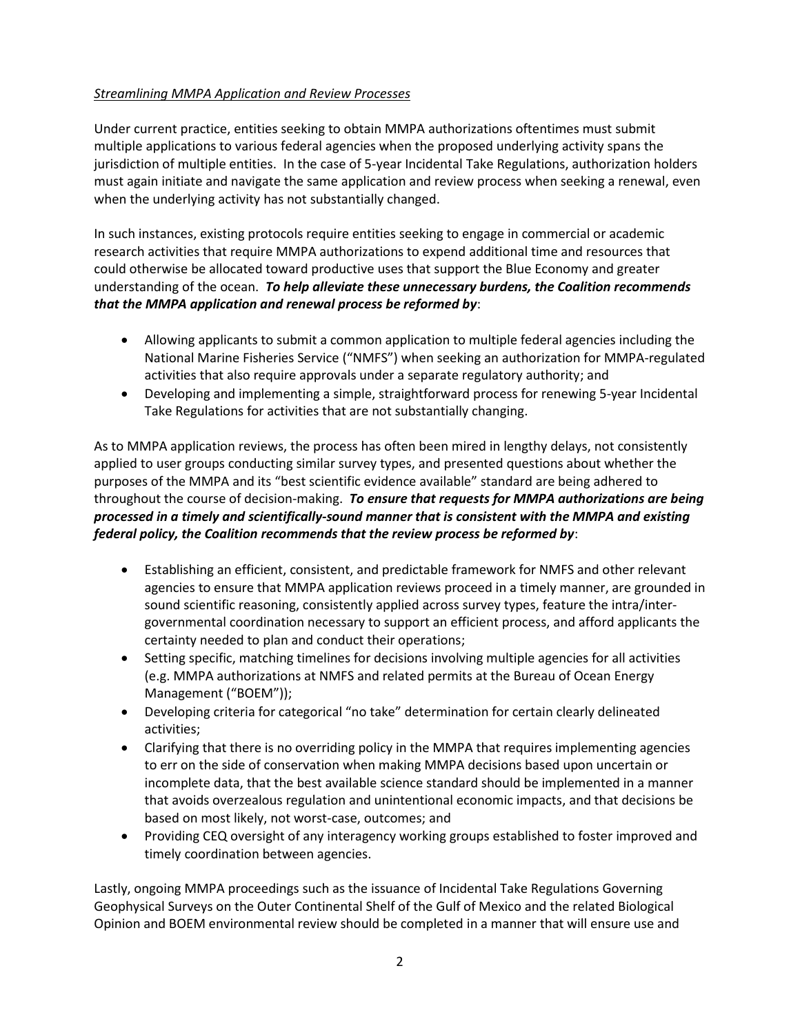## *Streamlining MMPA Application and Review Processes*

Under current practice, entities seeking to obtain MMPA authorizations oftentimes must submit multiple applications to various federal agencies when the proposed underlying activity spans the jurisdiction of multiple entities. In the case of 5-year Incidental Take Regulations, authorization holders must again initiate and navigate the same application and review process when seeking a renewal, even when the underlying activity has not substantially changed.

In such instances, existing protocols require entities seeking to engage in commercial or academic research activities that require MMPA authorizations to expend additional time and resources that could otherwise be allocated toward productive uses that support the Blue Economy and greater understanding of the ocean. *To help alleviate these unnecessary burdens, the Coalition recommends that the MMPA application and renewal process be reformed by*:

- Allowing applicants to submit a common application to multiple federal agencies including the National Marine Fisheries Service ("NMFS") when seeking an authorization for MMPA-regulated activities that also require approvals under a separate regulatory authority; and
- Developing and implementing a simple, straightforward process for renewing 5-year Incidental Take Regulations for activities that are not substantially changing.

As to MMPA application reviews, the process has often been mired in lengthy delays, not consistently applied to user groups conducting similar survey types, and presented questions about whether the purposes of the MMPA and its "best scientific evidence available" standard are being adhered to throughout the course of decision-making. *To ensure that requests for MMPA authorizations are being processed in a timely and scientifically-sound manner that is consistent with the MMPA and existing federal policy, the Coalition recommends that the review process be reformed by*:

- Establishing an efficient, consistent, and predictable framework for NMFS and other relevant agencies to ensure that MMPA application reviews proceed in a timely manner, are grounded in sound scientific reasoning, consistently applied across survey types, feature the intra/intergovernmental coordination necessary to support an efficient process, and afford applicants the certainty needed to plan and conduct their operations;
- Setting specific, matching timelines for decisions involving multiple agencies for all activities (e.g. MMPA authorizations at NMFS and related permits at the Bureau of Ocean Energy Management ("BOEM"));
- Developing criteria for categorical "no take" determination for certain clearly delineated activities;
- Clarifying that there is no overriding policy in the MMPA that requires implementing agencies to err on the side of conservation when making MMPA decisions based upon uncertain or incomplete data, that the best available science standard should be implemented in a manner that avoids overzealous regulation and unintentional economic impacts, and that decisions be based on most likely, not worst-case, outcomes; and
- Providing CEQ oversight of any interagency working groups established to foster improved and timely coordination between agencies.

Lastly, ongoing MMPA proceedings such as the issuance of Incidental Take Regulations Governing Geophysical Surveys on the Outer Continental Shelf of the Gulf of Mexico and the related Biological Opinion and BOEM environmental review should be completed in a manner that will ensure use and